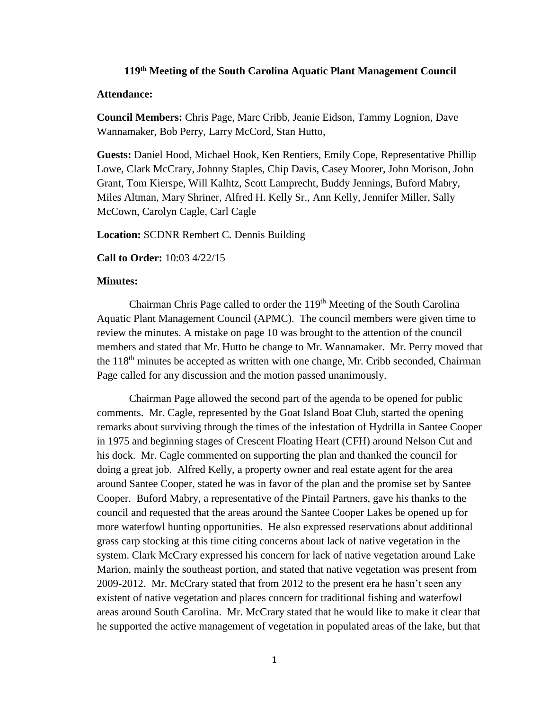## **119th Meeting of the South Carolina Aquatic Plant Management Council**

## **Attendance:**

**Council Members:** Chris Page, Marc Cribb, Jeanie Eidson, Tammy Lognion, Dave Wannamaker, Bob Perry, Larry McCord, Stan Hutto,

**Guests:** Daniel Hood, Michael Hook, Ken Rentiers, Emily Cope, Representative Phillip Lowe, Clark McCrary, Johnny Staples, Chip Davis, Casey Moorer, John Morison, John Grant, Tom Kierspe, Will Kalhtz, Scott Lamprecht, Buddy Jennings, Buford Mabry, Miles Altman, Mary Shriner, Alfred H. Kelly Sr., Ann Kelly, Jennifer Miller, Sally McCown, Carolyn Cagle, Carl Cagle

**Location:** SCDNR Rembert C. Dennis Building

**Call to Order:** 10:03 4/22/15

## **Minutes:**

Chairman Chris Page called to order the  $119<sup>th</sup>$  Meeting of the South Carolina Aquatic Plant Management Council (APMC). The council members were given time to review the minutes. A mistake on page 10 was brought to the attention of the council members and stated that Mr. Hutto be change to Mr. Wannamaker. Mr. Perry moved that the 118th minutes be accepted as written with one change, Mr. Cribb seconded, Chairman Page called for any discussion and the motion passed unanimously.

Chairman Page allowed the second part of the agenda to be opened for public comments. Mr. Cagle, represented by the Goat Island Boat Club, started the opening remarks about surviving through the times of the infestation of Hydrilla in Santee Cooper in 1975 and beginning stages of Crescent Floating Heart (CFH) around Nelson Cut and his dock. Mr. Cagle commented on supporting the plan and thanked the council for doing a great job. Alfred Kelly, a property owner and real estate agent for the area around Santee Cooper, stated he was in favor of the plan and the promise set by Santee Cooper. Buford Mabry, a representative of the Pintail Partners, gave his thanks to the council and requested that the areas around the Santee Cooper Lakes be opened up for more waterfowl hunting opportunities. He also expressed reservations about additional grass carp stocking at this time citing concerns about lack of native vegetation in the system. Clark McCrary expressed his concern for lack of native vegetation around Lake Marion, mainly the southeast portion, and stated that native vegetation was present from 2009-2012. Mr. McCrary stated that from 2012 to the present era he hasn't seen any existent of native vegetation and places concern for traditional fishing and waterfowl areas around South Carolina. Mr. McCrary stated that he would like to make it clear that he supported the active management of vegetation in populated areas of the lake, but that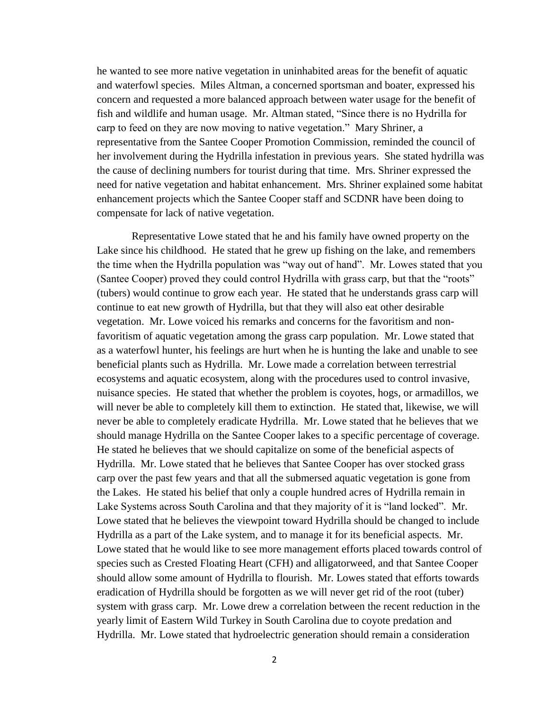he wanted to see more native vegetation in uninhabited areas for the benefit of aquatic and waterfowl species. Miles Altman, a concerned sportsman and boater, expressed his concern and requested a more balanced approach between water usage for the benefit of fish and wildlife and human usage. Mr. Altman stated, "Since there is no Hydrilla for carp to feed on they are now moving to native vegetation." Mary Shriner, a representative from the Santee Cooper Promotion Commission, reminded the council of her involvement during the Hydrilla infestation in previous years. She stated hydrilla was the cause of declining numbers for tourist during that time. Mrs. Shriner expressed the need for native vegetation and habitat enhancement. Mrs. Shriner explained some habitat enhancement projects which the Santee Cooper staff and SCDNR have been doing to compensate for lack of native vegetation.

Representative Lowe stated that he and his family have owned property on the Lake since his childhood. He stated that he grew up fishing on the lake, and remembers the time when the Hydrilla population was "way out of hand". Mr. Lowes stated that you (Santee Cooper) proved they could control Hydrilla with grass carp, but that the "roots" (tubers) would continue to grow each year. He stated that he understands grass carp will continue to eat new growth of Hydrilla, but that they will also eat other desirable vegetation. Mr. Lowe voiced his remarks and concerns for the favoritism and nonfavoritism of aquatic vegetation among the grass carp population. Mr. Lowe stated that as a waterfowl hunter, his feelings are hurt when he is hunting the lake and unable to see beneficial plants such as Hydrilla. Mr. Lowe made a correlation between terrestrial ecosystems and aquatic ecosystem, along with the procedures used to control invasive, nuisance species. He stated that whether the problem is coyotes, hogs, or armadillos, we will never be able to completely kill them to extinction. He stated that, likewise, we will never be able to completely eradicate Hydrilla. Mr. Lowe stated that he believes that we should manage Hydrilla on the Santee Cooper lakes to a specific percentage of coverage. He stated he believes that we should capitalize on some of the beneficial aspects of Hydrilla. Mr. Lowe stated that he believes that Santee Cooper has over stocked grass carp over the past few years and that all the submersed aquatic vegetation is gone from the Lakes. He stated his belief that only a couple hundred acres of Hydrilla remain in Lake Systems across South Carolina and that they majority of it is "land locked". Mr. Lowe stated that he believes the viewpoint toward Hydrilla should be changed to include Hydrilla as a part of the Lake system, and to manage it for its beneficial aspects. Mr. Lowe stated that he would like to see more management efforts placed towards control of species such as Crested Floating Heart (CFH) and alligatorweed, and that Santee Cooper should allow some amount of Hydrilla to flourish. Mr. Lowes stated that efforts towards eradication of Hydrilla should be forgotten as we will never get rid of the root (tuber) system with grass carp. Mr. Lowe drew a correlation between the recent reduction in the yearly limit of Eastern Wild Turkey in South Carolina due to coyote predation and Hydrilla. Mr. Lowe stated that hydroelectric generation should remain a consideration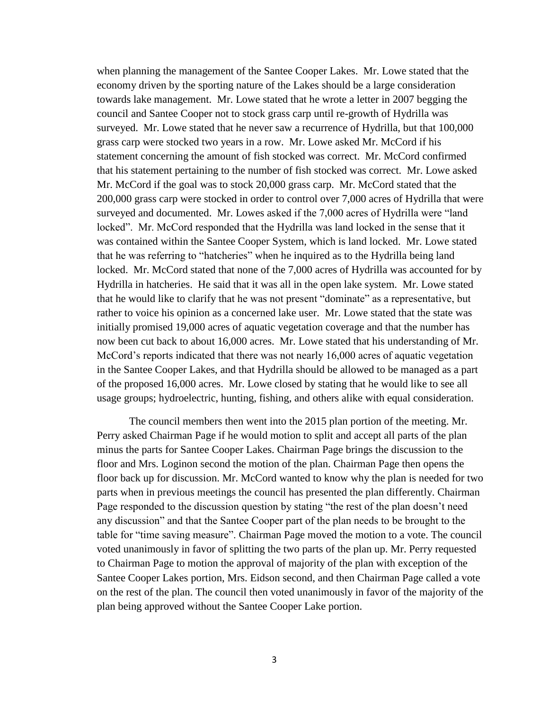when planning the management of the Santee Cooper Lakes. Mr. Lowe stated that the economy driven by the sporting nature of the Lakes should be a large consideration towards lake management. Mr. Lowe stated that he wrote a letter in 2007 begging the council and Santee Cooper not to stock grass carp until re-growth of Hydrilla was surveyed. Mr. Lowe stated that he never saw a recurrence of Hydrilla, but that 100,000 grass carp were stocked two years in a row. Mr. Lowe asked Mr. McCord if his statement concerning the amount of fish stocked was correct. Mr. McCord confirmed that his statement pertaining to the number of fish stocked was correct. Mr. Lowe asked Mr. McCord if the goal was to stock 20,000 grass carp. Mr. McCord stated that the 200,000 grass carp were stocked in order to control over 7,000 acres of Hydrilla that were surveyed and documented. Mr. Lowes asked if the 7,000 acres of Hydrilla were "land locked". Mr. McCord responded that the Hydrilla was land locked in the sense that it was contained within the Santee Cooper System, which is land locked. Mr. Lowe stated that he was referring to "hatcheries" when he inquired as to the Hydrilla being land locked. Mr. McCord stated that none of the 7,000 acres of Hydrilla was accounted for by Hydrilla in hatcheries. He said that it was all in the open lake system. Mr. Lowe stated that he would like to clarify that he was not present "dominate" as a representative, but rather to voice his opinion as a concerned lake user. Mr. Lowe stated that the state was initially promised 19,000 acres of aquatic vegetation coverage and that the number has now been cut back to about 16,000 acres. Mr. Lowe stated that his understanding of Mr. McCord's reports indicated that there was not nearly 16,000 acres of aquatic vegetation in the Santee Cooper Lakes, and that Hydrilla should be allowed to be managed as a part of the proposed 16,000 acres. Mr. Lowe closed by stating that he would like to see all usage groups; hydroelectric, hunting, fishing, and others alike with equal consideration.

The council members then went into the 2015 plan portion of the meeting. Mr. Perry asked Chairman Page if he would motion to split and accept all parts of the plan minus the parts for Santee Cooper Lakes. Chairman Page brings the discussion to the floor and Mrs. Loginon second the motion of the plan. Chairman Page then opens the floor back up for discussion. Mr. McCord wanted to know why the plan is needed for two parts when in previous meetings the council has presented the plan differently. Chairman Page responded to the discussion question by stating "the rest of the plan doesn't need any discussion" and that the Santee Cooper part of the plan needs to be brought to the table for "time saving measure". Chairman Page moved the motion to a vote. The council voted unanimously in favor of splitting the two parts of the plan up. Mr. Perry requested to Chairman Page to motion the approval of majority of the plan with exception of the Santee Cooper Lakes portion, Mrs. Eidson second, and then Chairman Page called a vote on the rest of the plan. The council then voted unanimously in favor of the majority of the plan being approved without the Santee Cooper Lake portion.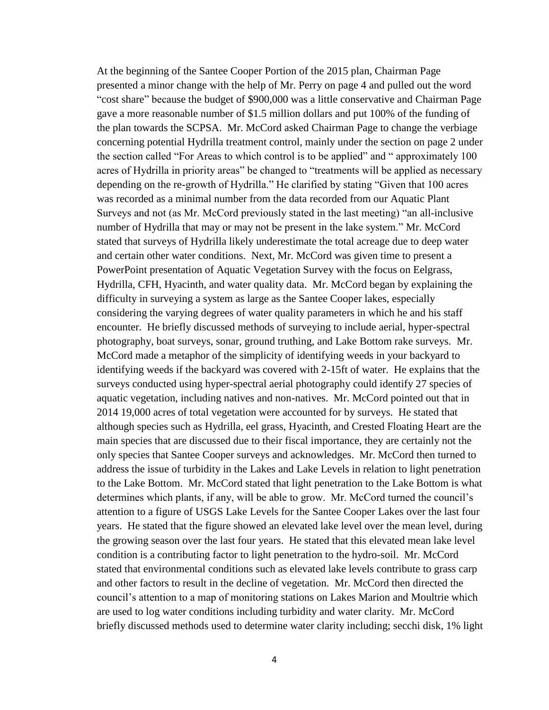At the beginning of the Santee Cooper Portion of the 2015 plan, Chairman Page presented a minor change with the help of Mr. Perry on page 4 and pulled out the word "cost share" because the budget of \$900,000 was a little conservative and Chairman Page gave a more reasonable number of \$1.5 million dollars and put 100% of the funding of the plan towards the SCPSA. Mr. McCord asked Chairman Page to change the verbiage concerning potential Hydrilla treatment control, mainly under the section on page 2 under the section called "For Areas to which control is to be applied" and " approximately 100 acres of Hydrilla in priority areas" be changed to "treatments will be applied as necessary depending on the re-growth of Hydrilla." He clarified by stating "Given that 100 acres was recorded as a minimal number from the data recorded from our Aquatic Plant Surveys and not (as Mr. McCord previously stated in the last meeting) "an all-inclusive number of Hydrilla that may or may not be present in the lake system." Mr. McCord stated that surveys of Hydrilla likely underestimate the total acreage due to deep water and certain other water conditions. Next, Mr. McCord was given time to present a PowerPoint presentation of Aquatic Vegetation Survey with the focus on Eelgrass, Hydrilla, CFH, Hyacinth, and water quality data. Mr. McCord began by explaining the difficulty in surveying a system as large as the Santee Cooper lakes, especially considering the varying degrees of water quality parameters in which he and his staff encounter. He briefly discussed methods of surveying to include aerial, hyper-spectral photography, boat surveys, sonar, ground truthing, and Lake Bottom rake surveys. Mr. McCord made a metaphor of the simplicity of identifying weeds in your backyard to identifying weeds if the backyard was covered with 2-15ft of water. He explains that the surveys conducted using hyper-spectral aerial photography could identify 27 species of aquatic vegetation, including natives and non-natives. Mr. McCord pointed out that in 2014 19,000 acres of total vegetation were accounted for by surveys. He stated that although species such as Hydrilla, eel grass, Hyacinth, and Crested Floating Heart are the main species that are discussed due to their fiscal importance, they are certainly not the only species that Santee Cooper surveys and acknowledges. Mr. McCord then turned to address the issue of turbidity in the Lakes and Lake Levels in relation to light penetration to the Lake Bottom. Mr. McCord stated that light penetration to the Lake Bottom is what determines which plants, if any, will be able to grow. Mr. McCord turned the council's attention to a figure of USGS Lake Levels for the Santee Cooper Lakes over the last four years. He stated that the figure showed an elevated lake level over the mean level, during the growing season over the last four years. He stated that this elevated mean lake level condition is a contributing factor to light penetration to the hydro-soil. Mr. McCord stated that environmental conditions such as elevated lake levels contribute to grass carp and other factors to result in the decline of vegetation. Mr. McCord then directed the council's attention to a map of monitoring stations on Lakes Marion and Moultrie which are used to log water conditions including turbidity and water clarity. Mr. McCord briefly discussed methods used to determine water clarity including; secchi disk, 1% light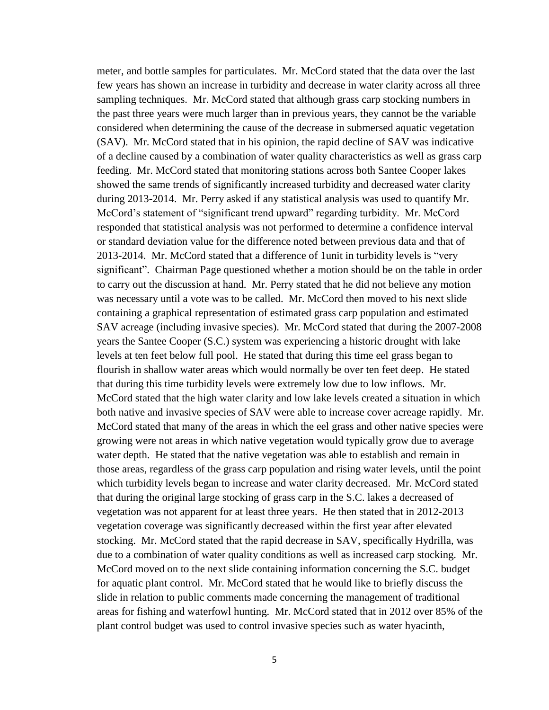meter, and bottle samples for particulates. Mr. McCord stated that the data over the last few years has shown an increase in turbidity and decrease in water clarity across all three sampling techniques. Mr. McCord stated that although grass carp stocking numbers in the past three years were much larger than in previous years, they cannot be the variable considered when determining the cause of the decrease in submersed aquatic vegetation (SAV). Mr. McCord stated that in his opinion, the rapid decline of SAV was indicative of a decline caused by a combination of water quality characteristics as well as grass carp feeding. Mr. McCord stated that monitoring stations across both Santee Cooper lakes showed the same trends of significantly increased turbidity and decreased water clarity during 2013-2014. Mr. Perry asked if any statistical analysis was used to quantify Mr. McCord's statement of "significant trend upward" regarding turbidity. Mr. McCord responded that statistical analysis was not performed to determine a confidence interval or standard deviation value for the difference noted between previous data and that of 2013-2014. Mr. McCord stated that a difference of 1unit in turbidity levels is "very significant". Chairman Page questioned whether a motion should be on the table in order to carry out the discussion at hand. Mr. Perry stated that he did not believe any motion was necessary until a vote was to be called. Mr. McCord then moved to his next slide containing a graphical representation of estimated grass carp population and estimated SAV acreage (including invasive species). Mr. McCord stated that during the 2007-2008 years the Santee Cooper (S.C.) system was experiencing a historic drought with lake levels at ten feet below full pool. He stated that during this time eel grass began to flourish in shallow water areas which would normally be over ten feet deep. He stated that during this time turbidity levels were extremely low due to low inflows. Mr. McCord stated that the high water clarity and low lake levels created a situation in which both native and invasive species of SAV were able to increase cover acreage rapidly. Mr. McCord stated that many of the areas in which the eel grass and other native species were growing were not areas in which native vegetation would typically grow due to average water depth. He stated that the native vegetation was able to establish and remain in those areas, regardless of the grass carp population and rising water levels, until the point which turbidity levels began to increase and water clarity decreased. Mr. McCord stated that during the original large stocking of grass carp in the S.C. lakes a decreased of vegetation was not apparent for at least three years. He then stated that in 2012-2013 vegetation coverage was significantly decreased within the first year after elevated stocking. Mr. McCord stated that the rapid decrease in SAV, specifically Hydrilla, was due to a combination of water quality conditions as well as increased carp stocking. Mr. McCord moved on to the next slide containing information concerning the S.C. budget for aquatic plant control. Mr. McCord stated that he would like to briefly discuss the slide in relation to public comments made concerning the management of traditional areas for fishing and waterfowl hunting. Mr. McCord stated that in 2012 over 85% of the plant control budget was used to control invasive species such as water hyacinth,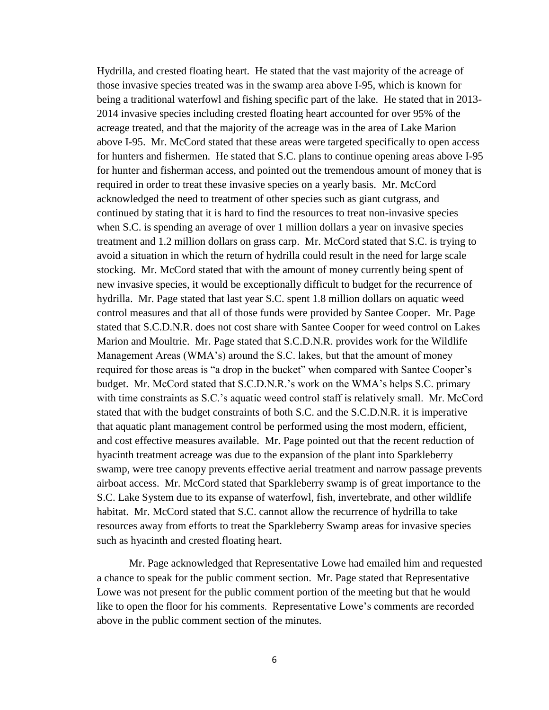Hydrilla, and crested floating heart. He stated that the vast majority of the acreage of those invasive species treated was in the swamp area above I-95, which is known for being a traditional waterfowl and fishing specific part of the lake. He stated that in 2013- 2014 invasive species including crested floating heart accounted for over 95% of the acreage treated, and that the majority of the acreage was in the area of Lake Marion above I-95. Mr. McCord stated that these areas were targeted specifically to open access for hunters and fishermen. He stated that S.C. plans to continue opening areas above I-95 for hunter and fisherman access, and pointed out the tremendous amount of money that is required in order to treat these invasive species on a yearly basis. Mr. McCord acknowledged the need to treatment of other species such as giant cutgrass, and continued by stating that it is hard to find the resources to treat non-invasive species when S.C. is spending an average of over 1 million dollars a year on invasive species treatment and 1.2 million dollars on grass carp. Mr. McCord stated that S.C. is trying to avoid a situation in which the return of hydrilla could result in the need for large scale stocking. Mr. McCord stated that with the amount of money currently being spent of new invasive species, it would be exceptionally difficult to budget for the recurrence of hydrilla. Mr. Page stated that last year S.C. spent 1.8 million dollars on aquatic weed control measures and that all of those funds were provided by Santee Cooper. Mr. Page stated that S.C.D.N.R. does not cost share with Santee Cooper for weed control on Lakes Marion and Moultrie. Mr. Page stated that S.C.D.N.R. provides work for the Wildlife Management Areas (WMA's) around the S.C. lakes, but that the amount of money required for those areas is "a drop in the bucket" when compared with Santee Cooper's budget. Mr. McCord stated that S.C.D.N.R.'s work on the WMA's helps S.C. primary with time constraints as S.C.'s aquatic weed control staff is relatively small. Mr. McCord stated that with the budget constraints of both S.C. and the S.C.D.N.R. it is imperative that aquatic plant management control be performed using the most modern, efficient, and cost effective measures available. Mr. Page pointed out that the recent reduction of hyacinth treatment acreage was due to the expansion of the plant into Sparkleberry swamp, were tree canopy prevents effective aerial treatment and narrow passage prevents airboat access. Mr. McCord stated that Sparkleberry swamp is of great importance to the S.C. Lake System due to its expanse of waterfowl, fish, invertebrate, and other wildlife habitat. Mr. McCord stated that S.C. cannot allow the recurrence of hydrilla to take resources away from efforts to treat the Sparkleberry Swamp areas for invasive species such as hyacinth and crested floating heart.

Mr. Page acknowledged that Representative Lowe had emailed him and requested a chance to speak for the public comment section. Mr. Page stated that Representative Lowe was not present for the public comment portion of the meeting but that he would like to open the floor for his comments. Representative Lowe's comments are recorded above in the public comment section of the minutes.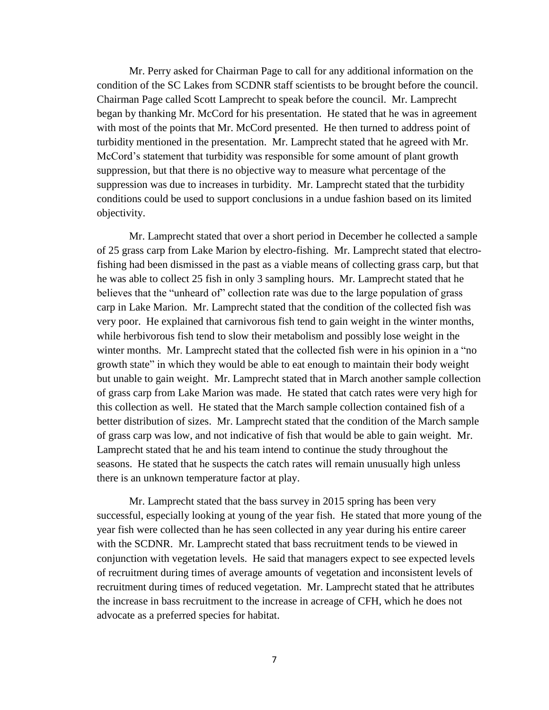Mr. Perry asked for Chairman Page to call for any additional information on the condition of the SC Lakes from SCDNR staff scientists to be brought before the council. Chairman Page called Scott Lamprecht to speak before the council. Mr. Lamprecht began by thanking Mr. McCord for his presentation. He stated that he was in agreement with most of the points that Mr. McCord presented. He then turned to address point of turbidity mentioned in the presentation. Mr. Lamprecht stated that he agreed with Mr. McCord's statement that turbidity was responsible for some amount of plant growth suppression, but that there is no objective way to measure what percentage of the suppression was due to increases in turbidity. Mr. Lamprecht stated that the turbidity conditions could be used to support conclusions in a undue fashion based on its limited objectivity.

Mr. Lamprecht stated that over a short period in December he collected a sample of 25 grass carp from Lake Marion by electro-fishing. Mr. Lamprecht stated that electrofishing had been dismissed in the past as a viable means of collecting grass carp, but that he was able to collect 25 fish in only 3 sampling hours. Mr. Lamprecht stated that he believes that the "unheard of" collection rate was due to the large population of grass carp in Lake Marion. Mr. Lamprecht stated that the condition of the collected fish was very poor. He explained that carnivorous fish tend to gain weight in the winter months, while herbivorous fish tend to slow their metabolism and possibly lose weight in the winter months. Mr. Lamprecht stated that the collected fish were in his opinion in a "no growth state" in which they would be able to eat enough to maintain their body weight but unable to gain weight. Mr. Lamprecht stated that in March another sample collection of grass carp from Lake Marion was made. He stated that catch rates were very high for this collection as well. He stated that the March sample collection contained fish of a better distribution of sizes. Mr. Lamprecht stated that the condition of the March sample of grass carp was low, and not indicative of fish that would be able to gain weight. Mr. Lamprecht stated that he and his team intend to continue the study throughout the seasons. He stated that he suspects the catch rates will remain unusually high unless there is an unknown temperature factor at play.

Mr. Lamprecht stated that the bass survey in 2015 spring has been very successful, especially looking at young of the year fish. He stated that more young of the year fish were collected than he has seen collected in any year during his entire career with the SCDNR. Mr. Lamprecht stated that bass recruitment tends to be viewed in conjunction with vegetation levels. He said that managers expect to see expected levels of recruitment during times of average amounts of vegetation and inconsistent levels of recruitment during times of reduced vegetation. Mr. Lamprecht stated that he attributes the increase in bass recruitment to the increase in acreage of CFH, which he does not advocate as a preferred species for habitat.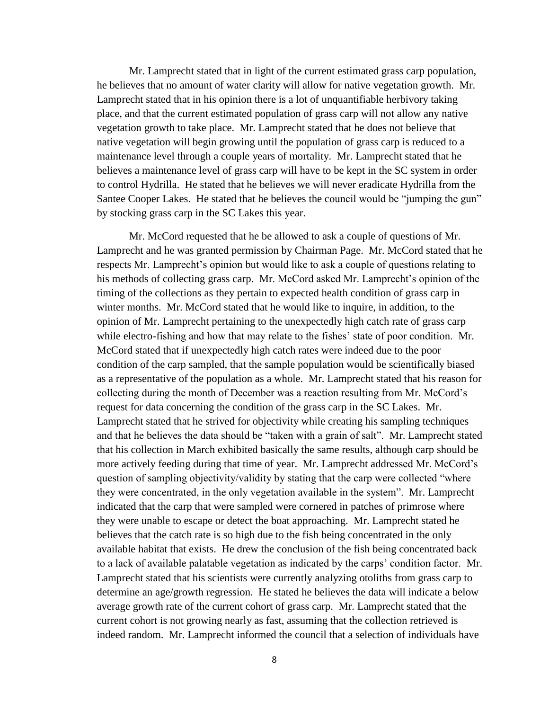Mr. Lamprecht stated that in light of the current estimated grass carp population, he believes that no amount of water clarity will allow for native vegetation growth. Mr. Lamprecht stated that in his opinion there is a lot of unquantifiable herbivory taking place, and that the current estimated population of grass carp will not allow any native vegetation growth to take place. Mr. Lamprecht stated that he does not believe that native vegetation will begin growing until the population of grass carp is reduced to a maintenance level through a couple years of mortality. Mr. Lamprecht stated that he believes a maintenance level of grass carp will have to be kept in the SC system in order to control Hydrilla. He stated that he believes we will never eradicate Hydrilla from the Santee Cooper Lakes. He stated that he believes the council would be "jumping the gun" by stocking grass carp in the SC Lakes this year.

Mr. McCord requested that he be allowed to ask a couple of questions of Mr. Lamprecht and he was granted permission by Chairman Page. Mr. McCord stated that he respects Mr. Lamprecht's opinion but would like to ask a couple of questions relating to his methods of collecting grass carp. Mr. McCord asked Mr. Lamprecht's opinion of the timing of the collections as they pertain to expected health condition of grass carp in winter months. Mr. McCord stated that he would like to inquire, in addition, to the opinion of Mr. Lamprecht pertaining to the unexpectedly high catch rate of grass carp while electro-fishing and how that may relate to the fishes' state of poor condition. Mr. McCord stated that if unexpectedly high catch rates were indeed due to the poor condition of the carp sampled, that the sample population would be scientifically biased as a representative of the population as a whole. Mr. Lamprecht stated that his reason for collecting during the month of December was a reaction resulting from Mr. McCord's request for data concerning the condition of the grass carp in the SC Lakes. Mr. Lamprecht stated that he strived for objectivity while creating his sampling techniques and that he believes the data should be "taken with a grain of salt". Mr. Lamprecht stated that his collection in March exhibited basically the same results, although carp should be more actively feeding during that time of year. Mr. Lamprecht addressed Mr. McCord's question of sampling objectivity/validity by stating that the carp were collected "where they were concentrated, in the only vegetation available in the system". Mr. Lamprecht indicated that the carp that were sampled were cornered in patches of primrose where they were unable to escape or detect the boat approaching. Mr. Lamprecht stated he believes that the catch rate is so high due to the fish being concentrated in the only available habitat that exists. He drew the conclusion of the fish being concentrated back to a lack of available palatable vegetation as indicated by the carps' condition factor. Mr. Lamprecht stated that his scientists were currently analyzing otoliths from grass carp to determine an age/growth regression. He stated he believes the data will indicate a below average growth rate of the current cohort of grass carp. Mr. Lamprecht stated that the current cohort is not growing nearly as fast, assuming that the collection retrieved is indeed random. Mr. Lamprecht informed the council that a selection of individuals have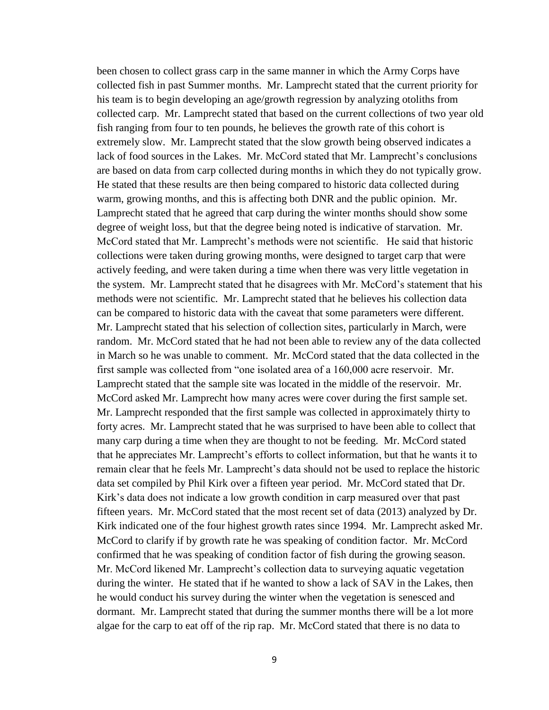been chosen to collect grass carp in the same manner in which the Army Corps have collected fish in past Summer months. Mr. Lamprecht stated that the current priority for his team is to begin developing an age/growth regression by analyzing otoliths from collected carp. Mr. Lamprecht stated that based on the current collections of two year old fish ranging from four to ten pounds, he believes the growth rate of this cohort is extremely slow. Mr. Lamprecht stated that the slow growth being observed indicates a lack of food sources in the Lakes. Mr. McCord stated that Mr. Lamprecht's conclusions are based on data from carp collected during months in which they do not typically grow. He stated that these results are then being compared to historic data collected during warm, growing months, and this is affecting both DNR and the public opinion. Mr. Lamprecht stated that he agreed that carp during the winter months should show some degree of weight loss, but that the degree being noted is indicative of starvation. Mr. McCord stated that Mr. Lamprecht's methods were not scientific. He said that historic collections were taken during growing months, were designed to target carp that were actively feeding, and were taken during a time when there was very little vegetation in the system. Mr. Lamprecht stated that he disagrees with Mr. McCord's statement that his methods were not scientific. Mr. Lamprecht stated that he believes his collection data can be compared to historic data with the caveat that some parameters were different. Mr. Lamprecht stated that his selection of collection sites, particularly in March, were random. Mr. McCord stated that he had not been able to review any of the data collected in March so he was unable to comment. Mr. McCord stated that the data collected in the first sample was collected from "one isolated area of a 160,000 acre reservoir. Mr. Lamprecht stated that the sample site was located in the middle of the reservoir. Mr. McCord asked Mr. Lamprecht how many acres were cover during the first sample set. Mr. Lamprecht responded that the first sample was collected in approximately thirty to forty acres. Mr. Lamprecht stated that he was surprised to have been able to collect that many carp during a time when they are thought to not be feeding. Mr. McCord stated that he appreciates Mr. Lamprecht's efforts to collect information, but that he wants it to remain clear that he feels Mr. Lamprecht's data should not be used to replace the historic data set compiled by Phil Kirk over a fifteen year period. Mr. McCord stated that Dr. Kirk's data does not indicate a low growth condition in carp measured over that past fifteen years. Mr. McCord stated that the most recent set of data (2013) analyzed by Dr. Kirk indicated one of the four highest growth rates since 1994. Mr. Lamprecht asked Mr. McCord to clarify if by growth rate he was speaking of condition factor. Mr. McCord confirmed that he was speaking of condition factor of fish during the growing season. Mr. McCord likened Mr. Lamprecht's collection data to surveying aquatic vegetation during the winter. He stated that if he wanted to show a lack of SAV in the Lakes, then he would conduct his survey during the winter when the vegetation is senesced and dormant. Mr. Lamprecht stated that during the summer months there will be a lot more algae for the carp to eat off of the rip rap. Mr. McCord stated that there is no data to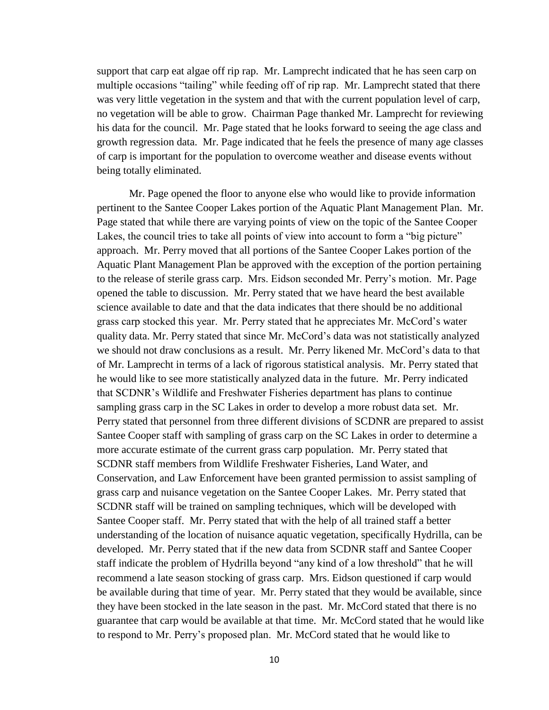support that carp eat algae off rip rap. Mr. Lamprecht indicated that he has seen carp on multiple occasions "tailing" while feeding off of rip rap. Mr. Lamprecht stated that there was very little vegetation in the system and that with the current population level of carp, no vegetation will be able to grow. Chairman Page thanked Mr. Lamprecht for reviewing his data for the council. Mr. Page stated that he looks forward to seeing the age class and growth regression data. Mr. Page indicated that he feels the presence of many age classes of carp is important for the population to overcome weather and disease events without being totally eliminated.

Mr. Page opened the floor to anyone else who would like to provide information pertinent to the Santee Cooper Lakes portion of the Aquatic Plant Management Plan. Mr. Page stated that while there are varying points of view on the topic of the Santee Cooper Lakes, the council tries to take all points of view into account to form a "big picture" approach. Mr. Perry moved that all portions of the Santee Cooper Lakes portion of the Aquatic Plant Management Plan be approved with the exception of the portion pertaining to the release of sterile grass carp. Mrs. Eidson seconded Mr. Perry's motion. Mr. Page opened the table to discussion. Mr. Perry stated that we have heard the best available science available to date and that the data indicates that there should be no additional grass carp stocked this year. Mr. Perry stated that he appreciates Mr. McCord's water quality data. Mr. Perry stated that since Mr. McCord's data was not statistically analyzed we should not draw conclusions as a result. Mr. Perry likened Mr. McCord's data to that of Mr. Lamprecht in terms of a lack of rigorous statistical analysis. Mr. Perry stated that he would like to see more statistically analyzed data in the future. Mr. Perry indicated that SCDNR's Wildlife and Freshwater Fisheries department has plans to continue sampling grass carp in the SC Lakes in order to develop a more robust data set. Mr. Perry stated that personnel from three different divisions of SCDNR are prepared to assist Santee Cooper staff with sampling of grass carp on the SC Lakes in order to determine a more accurate estimate of the current grass carp population. Mr. Perry stated that SCDNR staff members from Wildlife Freshwater Fisheries, Land Water, and Conservation, and Law Enforcement have been granted permission to assist sampling of grass carp and nuisance vegetation on the Santee Cooper Lakes. Mr. Perry stated that SCDNR staff will be trained on sampling techniques, which will be developed with Santee Cooper staff. Mr. Perry stated that with the help of all trained staff a better understanding of the location of nuisance aquatic vegetation, specifically Hydrilla, can be developed. Mr. Perry stated that if the new data from SCDNR staff and Santee Cooper staff indicate the problem of Hydrilla beyond "any kind of a low threshold" that he will recommend a late season stocking of grass carp. Mrs. Eidson questioned if carp would be available during that time of year. Mr. Perry stated that they would be available, since they have been stocked in the late season in the past. Mr. McCord stated that there is no guarantee that carp would be available at that time. Mr. McCord stated that he would like to respond to Mr. Perry's proposed plan. Mr. McCord stated that he would like to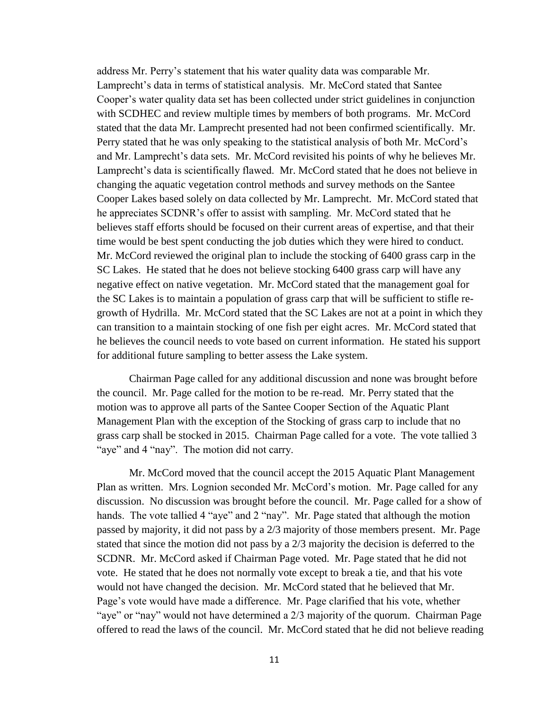address Mr. Perry's statement that his water quality data was comparable Mr. Lamprecht's data in terms of statistical analysis. Mr. McCord stated that Santee Cooper's water quality data set has been collected under strict guidelines in conjunction with SCDHEC and review multiple times by members of both programs. Mr. McCord stated that the data Mr. Lamprecht presented had not been confirmed scientifically. Mr. Perry stated that he was only speaking to the statistical analysis of both Mr. McCord's and Mr. Lamprecht's data sets. Mr. McCord revisited his points of why he believes Mr. Lamprecht's data is scientifically flawed. Mr. McCord stated that he does not believe in changing the aquatic vegetation control methods and survey methods on the Santee Cooper Lakes based solely on data collected by Mr. Lamprecht. Mr. McCord stated that he appreciates SCDNR's offer to assist with sampling. Mr. McCord stated that he believes staff efforts should be focused on their current areas of expertise, and that their time would be best spent conducting the job duties which they were hired to conduct. Mr. McCord reviewed the original plan to include the stocking of 6400 grass carp in the SC Lakes. He stated that he does not believe stocking 6400 grass carp will have any negative effect on native vegetation. Mr. McCord stated that the management goal for the SC Lakes is to maintain a population of grass carp that will be sufficient to stifle regrowth of Hydrilla. Mr. McCord stated that the SC Lakes are not at a point in which they can transition to a maintain stocking of one fish per eight acres. Mr. McCord stated that he believes the council needs to vote based on current information. He stated his support for additional future sampling to better assess the Lake system.

Chairman Page called for any additional discussion and none was brought before the council. Mr. Page called for the motion to be re-read. Mr. Perry stated that the motion was to approve all parts of the Santee Cooper Section of the Aquatic Plant Management Plan with the exception of the Stocking of grass carp to include that no grass carp shall be stocked in 2015. Chairman Page called for a vote. The vote tallied 3 "aye" and 4 "nay". The motion did not carry.

Mr. McCord moved that the council accept the 2015 Aquatic Plant Management Plan as written. Mrs. Lognion seconded Mr. McCord's motion. Mr. Page called for any discussion. No discussion was brought before the council. Mr. Page called for a show of hands. The vote tallied 4 "aye" and 2 "nay". Mr. Page stated that although the motion passed by majority, it did not pass by a 2/3 majority of those members present. Mr. Page stated that since the motion did not pass by a 2/3 majority the decision is deferred to the SCDNR. Mr. McCord asked if Chairman Page voted. Mr. Page stated that he did not vote. He stated that he does not normally vote except to break a tie, and that his vote would not have changed the decision. Mr. McCord stated that he believed that Mr. Page's vote would have made a difference. Mr. Page clarified that his vote, whether "aye" or "nay" would not have determined a 2/3 majority of the quorum. Chairman Page offered to read the laws of the council. Mr. McCord stated that he did not believe reading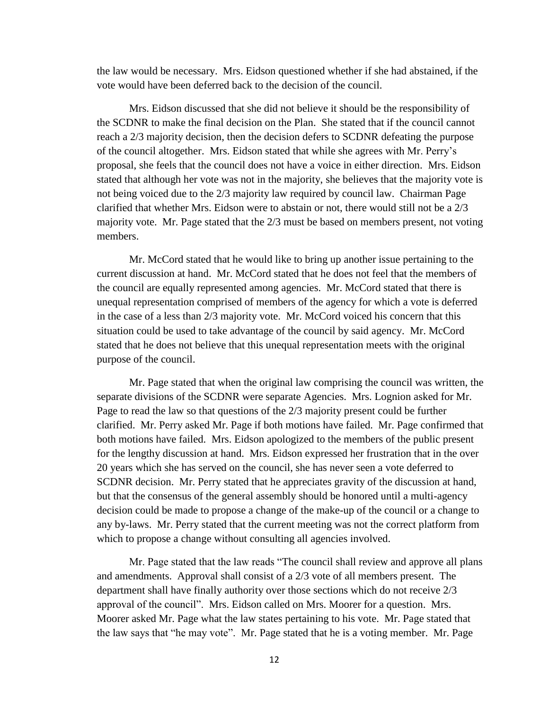the law would be necessary. Mrs. Eidson questioned whether if she had abstained, if the vote would have been deferred back to the decision of the council.

Mrs. Eidson discussed that she did not believe it should be the responsibility of the SCDNR to make the final decision on the Plan. She stated that if the council cannot reach a 2/3 majority decision, then the decision defers to SCDNR defeating the purpose of the council altogether. Mrs. Eidson stated that while she agrees with Mr. Perry's proposal, she feels that the council does not have a voice in either direction. Mrs. Eidson stated that although her vote was not in the majority, she believes that the majority vote is not being voiced due to the 2/3 majority law required by council law. Chairman Page clarified that whether Mrs. Eidson were to abstain or not, there would still not be a 2/3 majority vote. Mr. Page stated that the 2/3 must be based on members present, not voting members.

Mr. McCord stated that he would like to bring up another issue pertaining to the current discussion at hand. Mr. McCord stated that he does not feel that the members of the council are equally represented among agencies. Mr. McCord stated that there is unequal representation comprised of members of the agency for which a vote is deferred in the case of a less than 2/3 majority vote. Mr. McCord voiced his concern that this situation could be used to take advantage of the council by said agency. Mr. McCord stated that he does not believe that this unequal representation meets with the original purpose of the council.

Mr. Page stated that when the original law comprising the council was written, the separate divisions of the SCDNR were separate Agencies. Mrs. Lognion asked for Mr. Page to read the law so that questions of the 2/3 majority present could be further clarified. Mr. Perry asked Mr. Page if both motions have failed. Mr. Page confirmed that both motions have failed. Mrs. Eidson apologized to the members of the public present for the lengthy discussion at hand. Mrs. Eidson expressed her frustration that in the over 20 years which she has served on the council, she has never seen a vote deferred to SCDNR decision. Mr. Perry stated that he appreciates gravity of the discussion at hand, but that the consensus of the general assembly should be honored until a multi-agency decision could be made to propose a change of the make-up of the council or a change to any by-laws. Mr. Perry stated that the current meeting was not the correct platform from which to propose a change without consulting all agencies involved.

Mr. Page stated that the law reads "The council shall review and approve all plans and amendments. Approval shall consist of a 2/3 vote of all members present. The department shall have finally authority over those sections which do not receive 2/3 approval of the council". Mrs. Eidson called on Mrs. Moorer for a question. Mrs. Moorer asked Mr. Page what the law states pertaining to his vote. Mr. Page stated that the law says that "he may vote". Mr. Page stated that he is a voting member. Mr. Page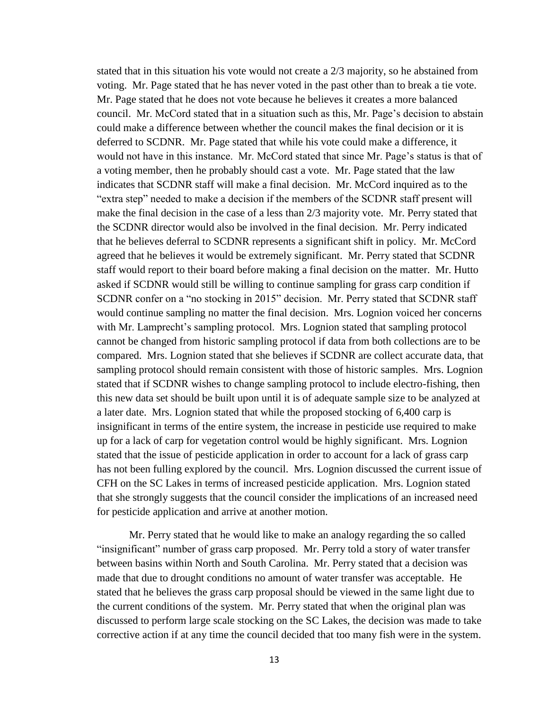stated that in this situation his vote would not create a 2/3 majority, so he abstained from voting. Mr. Page stated that he has never voted in the past other than to break a tie vote. Mr. Page stated that he does not vote because he believes it creates a more balanced council. Mr. McCord stated that in a situation such as this, Mr. Page's decision to abstain could make a difference between whether the council makes the final decision or it is deferred to SCDNR. Mr. Page stated that while his vote could make a difference, it would not have in this instance. Mr. McCord stated that since Mr. Page's status is that of a voting member, then he probably should cast a vote. Mr. Page stated that the law indicates that SCDNR staff will make a final decision. Mr. McCord inquired as to the "extra step" needed to make a decision if the members of the SCDNR staff present will make the final decision in the case of a less than 2/3 majority vote. Mr. Perry stated that the SCDNR director would also be involved in the final decision. Mr. Perry indicated that he believes deferral to SCDNR represents a significant shift in policy. Mr. McCord agreed that he believes it would be extremely significant. Mr. Perry stated that SCDNR staff would report to their board before making a final decision on the matter. Mr. Hutto asked if SCDNR would still be willing to continue sampling for grass carp condition if SCDNR confer on a "no stocking in 2015" decision. Mr. Perry stated that SCDNR staff would continue sampling no matter the final decision. Mrs. Lognion voiced her concerns with Mr. Lamprecht's sampling protocol. Mrs. Lognion stated that sampling protocol cannot be changed from historic sampling protocol if data from both collections are to be compared. Mrs. Lognion stated that she believes if SCDNR are collect accurate data, that sampling protocol should remain consistent with those of historic samples. Mrs. Lognion stated that if SCDNR wishes to change sampling protocol to include electro-fishing, then this new data set should be built upon until it is of adequate sample size to be analyzed at a later date. Mrs. Lognion stated that while the proposed stocking of 6,400 carp is insignificant in terms of the entire system, the increase in pesticide use required to make up for a lack of carp for vegetation control would be highly significant. Mrs. Lognion stated that the issue of pesticide application in order to account for a lack of grass carp has not been fulling explored by the council. Mrs. Lognion discussed the current issue of CFH on the SC Lakes in terms of increased pesticide application. Mrs. Lognion stated that she strongly suggests that the council consider the implications of an increased need for pesticide application and arrive at another motion.

Mr. Perry stated that he would like to make an analogy regarding the so called "insignificant" number of grass carp proposed. Mr. Perry told a story of water transfer between basins within North and South Carolina. Mr. Perry stated that a decision was made that due to drought conditions no amount of water transfer was acceptable. He stated that he believes the grass carp proposal should be viewed in the same light due to the current conditions of the system. Mr. Perry stated that when the original plan was discussed to perform large scale stocking on the SC Lakes, the decision was made to take corrective action if at any time the council decided that too many fish were in the system.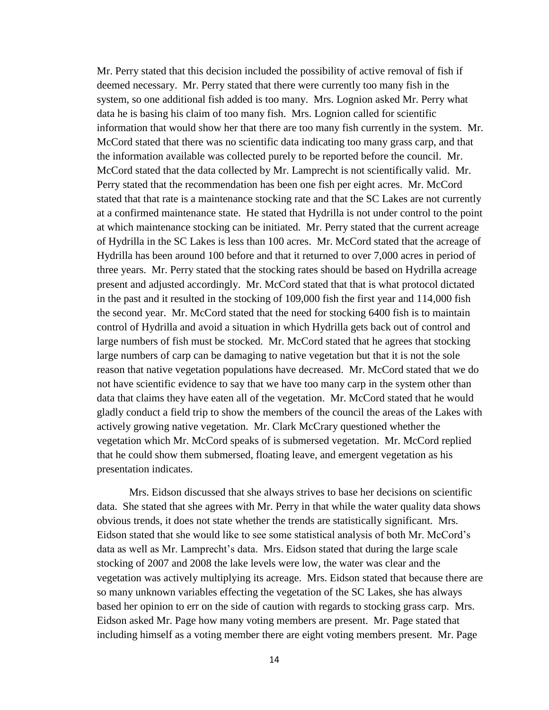Mr. Perry stated that this decision included the possibility of active removal of fish if deemed necessary. Mr. Perry stated that there were currently too many fish in the system, so one additional fish added is too many. Mrs. Lognion asked Mr. Perry what data he is basing his claim of too many fish. Mrs. Lognion called for scientific information that would show her that there are too many fish currently in the system. Mr. McCord stated that there was no scientific data indicating too many grass carp, and that the information available was collected purely to be reported before the council. Mr. McCord stated that the data collected by Mr. Lamprecht is not scientifically valid. Mr. Perry stated that the recommendation has been one fish per eight acres. Mr. McCord stated that that rate is a maintenance stocking rate and that the SC Lakes are not currently at a confirmed maintenance state. He stated that Hydrilla is not under control to the point at which maintenance stocking can be initiated. Mr. Perry stated that the current acreage of Hydrilla in the SC Lakes is less than 100 acres. Mr. McCord stated that the acreage of Hydrilla has been around 100 before and that it returned to over 7,000 acres in period of three years. Mr. Perry stated that the stocking rates should be based on Hydrilla acreage present and adjusted accordingly. Mr. McCord stated that that is what protocol dictated in the past and it resulted in the stocking of 109,000 fish the first year and 114,000 fish the second year. Mr. McCord stated that the need for stocking 6400 fish is to maintain control of Hydrilla and avoid a situation in which Hydrilla gets back out of control and large numbers of fish must be stocked. Mr. McCord stated that he agrees that stocking large numbers of carp can be damaging to native vegetation but that it is not the sole reason that native vegetation populations have decreased. Mr. McCord stated that we do not have scientific evidence to say that we have too many carp in the system other than data that claims they have eaten all of the vegetation. Mr. McCord stated that he would gladly conduct a field trip to show the members of the council the areas of the Lakes with actively growing native vegetation. Mr. Clark McCrary questioned whether the vegetation which Mr. McCord speaks of is submersed vegetation. Mr. McCord replied that he could show them submersed, floating leave, and emergent vegetation as his presentation indicates.

Mrs. Eidson discussed that she always strives to base her decisions on scientific data. She stated that she agrees with Mr. Perry in that while the water quality data shows obvious trends, it does not state whether the trends are statistically significant. Mrs. Eidson stated that she would like to see some statistical analysis of both Mr. McCord's data as well as Mr. Lamprecht's data. Mrs. Eidson stated that during the large scale stocking of 2007 and 2008 the lake levels were low, the water was clear and the vegetation was actively multiplying its acreage. Mrs. Eidson stated that because there are so many unknown variables effecting the vegetation of the SC Lakes, she has always based her opinion to err on the side of caution with regards to stocking grass carp. Mrs. Eidson asked Mr. Page how many voting members are present. Mr. Page stated that including himself as a voting member there are eight voting members present. Mr. Page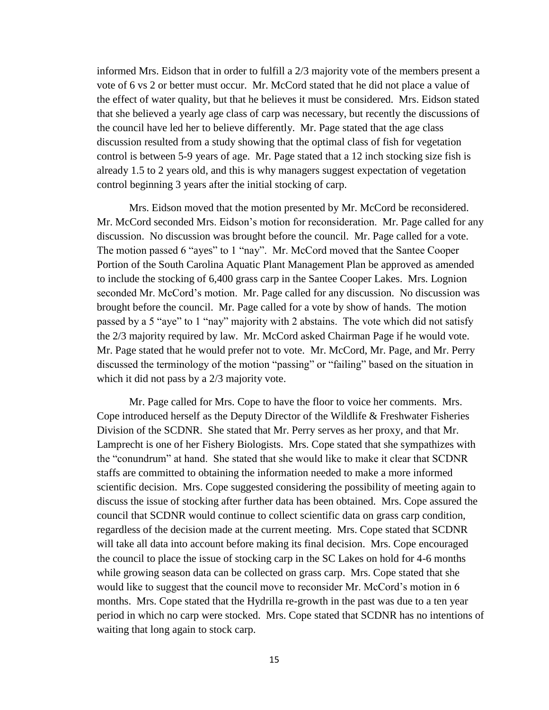informed Mrs. Eidson that in order to fulfill a 2/3 majority vote of the members present a vote of 6 vs 2 or better must occur. Mr. McCord stated that he did not place a value of the effect of water quality, but that he believes it must be considered. Mrs. Eidson stated that she believed a yearly age class of carp was necessary, but recently the discussions of the council have led her to believe differently. Mr. Page stated that the age class discussion resulted from a study showing that the optimal class of fish for vegetation control is between 5-9 years of age. Mr. Page stated that a 12 inch stocking size fish is already 1.5 to 2 years old, and this is why managers suggest expectation of vegetation control beginning 3 years after the initial stocking of carp.

Mrs. Eidson moved that the motion presented by Mr. McCord be reconsidered. Mr. McCord seconded Mrs. Eidson's motion for reconsideration. Mr. Page called for any discussion. No discussion was brought before the council. Mr. Page called for a vote. The motion passed 6 "ayes" to 1 "nay". Mr. McCord moved that the Santee Cooper Portion of the South Carolina Aquatic Plant Management Plan be approved as amended to include the stocking of 6,400 grass carp in the Santee Cooper Lakes. Mrs. Lognion seconded Mr. McCord's motion. Mr. Page called for any discussion. No discussion was brought before the council. Mr. Page called for a vote by show of hands. The motion passed by a 5 "aye" to 1 "nay" majority with 2 abstains. The vote which did not satisfy the 2/3 majority required by law. Mr. McCord asked Chairman Page if he would vote. Mr. Page stated that he would prefer not to vote. Mr. McCord, Mr. Page, and Mr. Perry discussed the terminology of the motion "passing" or "failing" based on the situation in which it did not pass by a 2/3 majority vote.

Mr. Page called for Mrs. Cope to have the floor to voice her comments. Mrs. Cope introduced herself as the Deputy Director of the Wildlife & Freshwater Fisheries Division of the SCDNR. She stated that Mr. Perry serves as her proxy, and that Mr. Lamprecht is one of her Fishery Biologists. Mrs. Cope stated that she sympathizes with the "conundrum" at hand. She stated that she would like to make it clear that SCDNR staffs are committed to obtaining the information needed to make a more informed scientific decision. Mrs. Cope suggested considering the possibility of meeting again to discuss the issue of stocking after further data has been obtained. Mrs. Cope assured the council that SCDNR would continue to collect scientific data on grass carp condition, regardless of the decision made at the current meeting. Mrs. Cope stated that SCDNR will take all data into account before making its final decision. Mrs. Cope encouraged the council to place the issue of stocking carp in the SC Lakes on hold for 4-6 months while growing season data can be collected on grass carp. Mrs. Cope stated that she would like to suggest that the council move to reconsider Mr. McCord's motion in 6 months. Mrs. Cope stated that the Hydrilla re-growth in the past was due to a ten year period in which no carp were stocked. Mrs. Cope stated that SCDNR has no intentions of waiting that long again to stock carp.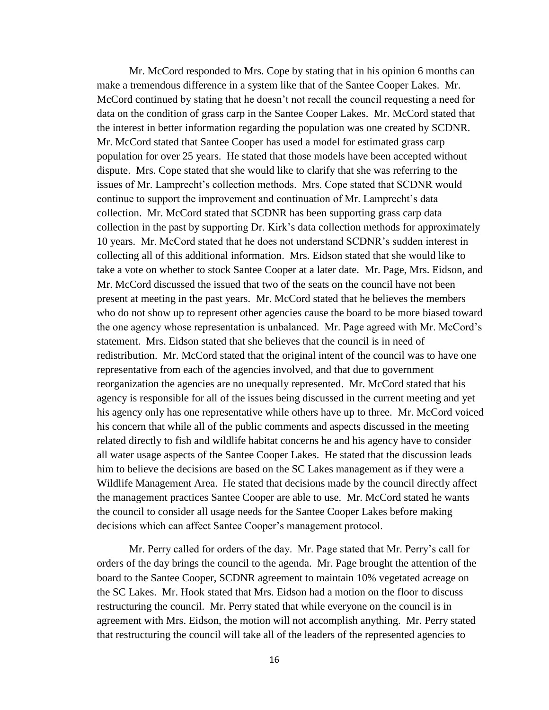Mr. McCord responded to Mrs. Cope by stating that in his opinion 6 months can make a tremendous difference in a system like that of the Santee Cooper Lakes. Mr. McCord continued by stating that he doesn't not recall the council requesting a need for data on the condition of grass carp in the Santee Cooper Lakes. Mr. McCord stated that the interest in better information regarding the population was one created by SCDNR. Mr. McCord stated that Santee Cooper has used a model for estimated grass carp population for over 25 years. He stated that those models have been accepted without dispute. Mrs. Cope stated that she would like to clarify that she was referring to the issues of Mr. Lamprecht's collection methods. Mrs. Cope stated that SCDNR would continue to support the improvement and continuation of Mr. Lamprecht's data collection. Mr. McCord stated that SCDNR has been supporting grass carp data collection in the past by supporting Dr. Kirk's data collection methods for approximately 10 years. Mr. McCord stated that he does not understand SCDNR's sudden interest in collecting all of this additional information. Mrs. Eidson stated that she would like to take a vote on whether to stock Santee Cooper at a later date. Mr. Page, Mrs. Eidson, and Mr. McCord discussed the issued that two of the seats on the council have not been present at meeting in the past years. Mr. McCord stated that he believes the members who do not show up to represent other agencies cause the board to be more biased toward the one agency whose representation is unbalanced. Mr. Page agreed with Mr. McCord's statement. Mrs. Eidson stated that she believes that the council is in need of redistribution. Mr. McCord stated that the original intent of the council was to have one representative from each of the agencies involved, and that due to government reorganization the agencies are no unequally represented. Mr. McCord stated that his agency is responsible for all of the issues being discussed in the current meeting and yet his agency only has one representative while others have up to three. Mr. McCord voiced his concern that while all of the public comments and aspects discussed in the meeting related directly to fish and wildlife habitat concerns he and his agency have to consider all water usage aspects of the Santee Cooper Lakes. He stated that the discussion leads him to believe the decisions are based on the SC Lakes management as if they were a Wildlife Management Area. He stated that decisions made by the council directly affect the management practices Santee Cooper are able to use. Mr. McCord stated he wants the council to consider all usage needs for the Santee Cooper Lakes before making decisions which can affect Santee Cooper's management protocol.

Mr. Perry called for orders of the day. Mr. Page stated that Mr. Perry's call for orders of the day brings the council to the agenda. Mr. Page brought the attention of the board to the Santee Cooper, SCDNR agreement to maintain 10% vegetated acreage on the SC Lakes. Mr. Hook stated that Mrs. Eidson had a motion on the floor to discuss restructuring the council. Mr. Perry stated that while everyone on the council is in agreement with Mrs. Eidson, the motion will not accomplish anything. Mr. Perry stated that restructuring the council will take all of the leaders of the represented agencies to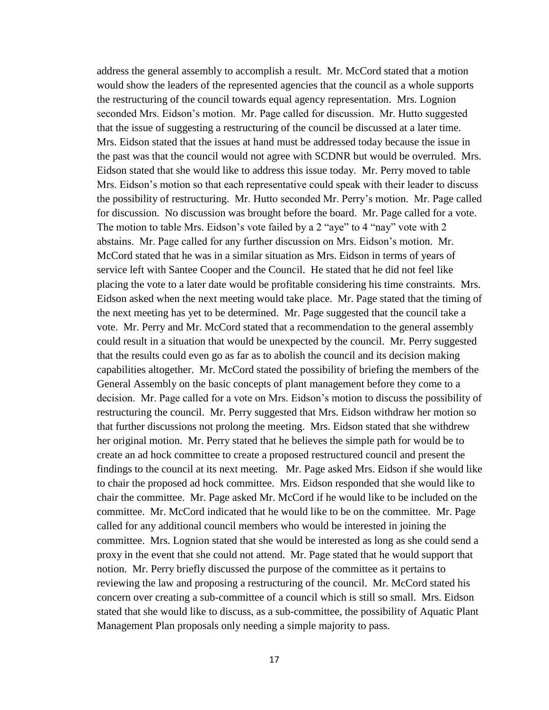address the general assembly to accomplish a result. Mr. McCord stated that a motion would show the leaders of the represented agencies that the council as a whole supports the restructuring of the council towards equal agency representation. Mrs. Lognion seconded Mrs. Eidson's motion. Mr. Page called for discussion. Mr. Hutto suggested that the issue of suggesting a restructuring of the council be discussed at a later time. Mrs. Eidson stated that the issues at hand must be addressed today because the issue in the past was that the council would not agree with SCDNR but would be overruled. Mrs. Eidson stated that she would like to address this issue today. Mr. Perry moved to table Mrs. Eidson's motion so that each representative could speak with their leader to discuss the possibility of restructuring. Mr. Hutto seconded Mr. Perry's motion. Mr. Page called for discussion. No discussion was brought before the board. Mr. Page called for a vote. The motion to table Mrs. Eidson's vote failed by a 2 "aye" to 4 "nay" vote with 2 abstains. Mr. Page called for any further discussion on Mrs. Eidson's motion. Mr. McCord stated that he was in a similar situation as Mrs. Eidson in terms of years of service left with Santee Cooper and the Council. He stated that he did not feel like placing the vote to a later date would be profitable considering his time constraints. Mrs. Eidson asked when the next meeting would take place. Mr. Page stated that the timing of the next meeting has yet to be determined. Mr. Page suggested that the council take a vote. Mr. Perry and Mr. McCord stated that a recommendation to the general assembly could result in a situation that would be unexpected by the council. Mr. Perry suggested that the results could even go as far as to abolish the council and its decision making capabilities altogether. Mr. McCord stated the possibility of briefing the members of the General Assembly on the basic concepts of plant management before they come to a decision. Mr. Page called for a vote on Mrs. Eidson's motion to discuss the possibility of restructuring the council. Mr. Perry suggested that Mrs. Eidson withdraw her motion so that further discussions not prolong the meeting. Mrs. Eidson stated that she withdrew her original motion. Mr. Perry stated that he believes the simple path for would be to create an ad hock committee to create a proposed restructured council and present the findings to the council at its next meeting. Mr. Page asked Mrs. Eidson if she would like to chair the proposed ad hock committee. Mrs. Eidson responded that she would like to chair the committee. Mr. Page asked Mr. McCord if he would like to be included on the committee. Mr. McCord indicated that he would like to be on the committee. Mr. Page called for any additional council members who would be interested in joining the committee. Mrs. Lognion stated that she would be interested as long as she could send a proxy in the event that she could not attend. Mr. Page stated that he would support that notion. Mr. Perry briefly discussed the purpose of the committee as it pertains to reviewing the law and proposing a restructuring of the council. Mr. McCord stated his concern over creating a sub-committee of a council which is still so small. Mrs. Eidson stated that she would like to discuss, as a sub-committee, the possibility of Aquatic Plant Management Plan proposals only needing a simple majority to pass.